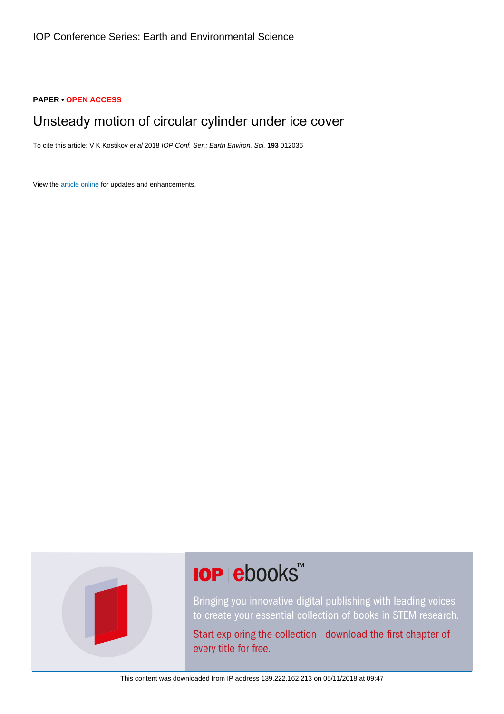#### **PAPER • OPEN ACCESS**

## Unsteady motion of circular cylinder under ice cover

To cite this article: V K Kostikov et al 2018 IOP Conf. Ser.: Earth Environ. Sci. **193** 012036

View the [article online](https://doi.org/10.1088/1755-1315/193/1/012036) for updates and enhancements.



# **IOP ebooks™**

Bringing you innovative digital publishing with leading voices to create your essential collection of books in STEM research.

Start exploring the collection - download the first chapter of every title for free.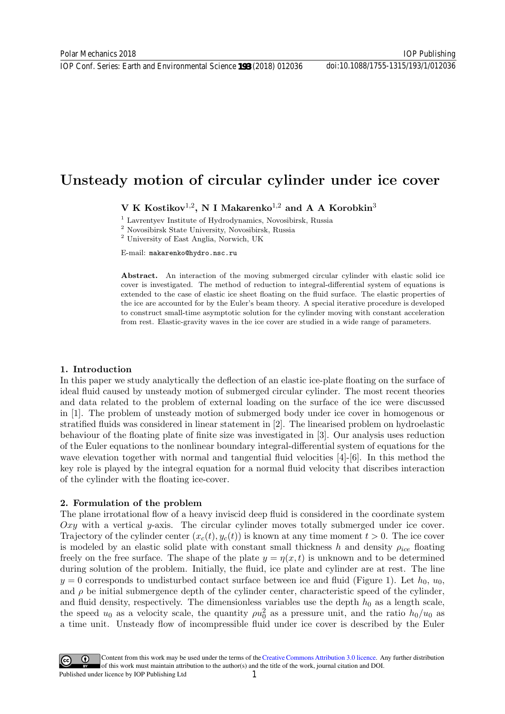### Unsteady motion of circular cylinder under ice cover

V K Kostikov<sup>1,2</sup>, N I Makarenko<sup>1,2</sup> and A A Korobkin<sup>3</sup>

<sup>1</sup> Lavrentyev Institute of Hydrodynamics, Novosibirsk, Russia

<sup>2</sup> Novosibirsk State University, Novosibirsk, Russia

<sup>2</sup> University of East Anglia, Norwich, UK

E-mail: makarenko@hydro.nsc.ru

Abstract. An interaction of the moving submerged circular cylinder with elastic solid ice cover is investigated. The method of reduction to integral-differential system of equations is extended to the case of elastic ice sheet floating on the fluid surface. The elastic properties of the ice are accounted for by the Euler's beam theory. A special iterative procedure is developed to construct small-time asymptotic solution for the cylinder moving with constant acceleration from rest. Elastic-gravity waves in the ice cover are studied in a wide range of parameters.

#### 1. Introduction

In this paper we study analytically the deflection of an elastic ice-plate floating on the surface of ideal fluid caused by unsteady motion of submerged circular cylinder. The most recent theories and data related to the problem of external loading on the surface of the ice were discussed in [1]. The problem of unsteady motion of submerged body under ice cover in homogenous or stratified fluids was considered in linear statement in [2]. The linearised problem on hydroelastic behaviour of the floating plate of finite size was investigated in [3]. Our analysis uses reduction of the Euler equations to the nonlinear boundary integral-differential system of equations for the wave elevation together with normal and tangential fluid velocities [4]-[6]. In this method the key role is played by the integral equation for a normal fluid velocity that discribes interaction of the cylinder with the floating ice-cover.

#### 2. Formulation of the problem

The plane irrotational flow of a heavy inviscid deep fluid is considered in the coordinate system  $Oxy$  with a vertical y-axis. The circular cylinder moves totally submerged under ice cover. Trajectory of the cylinder center  $(x_c(t), y_c(t))$  is known at any time moment  $t > 0$ . The ice cover is modeled by an elastic solid plate with constant small thickness h and density  $\rho_{ice}$  floating freely on the free surface. The shape of the plate  $y = \eta(x, t)$  is unknown and to be determined during solution of the problem. Initially, the fluid, ice plate and cylinder are at rest. The line  $y = 0$  corresponds to undisturbed contact surface between ice and fluid (Figure 1). Let  $h_0$ ,  $u_0$ , and  $\rho$  be initial submergence depth of the cylinder center, characteristic speed of the cylinder, and fluid density, respectively. The dimensionless variables use the depth  $h_0$  as a length scale, the speed  $u_0$  as a velocity scale, the quantity  $\rho u_0^2$  as a pressure unit, and the ratio  $h_0/u_0$  as a time unit. Unsteady flow of incompressible fluid under ice cover is described by the Euler

Content from this work may be used under the terms of the[Creative Commons Attribution 3.0 licence.](http://creativecommons.org/licenses/by/3.0) Any further distribution of this work must maintain attribution to the author(s) and the title of the work, journal citation and DOI. Published under licence by IOP Publishing Ltd 1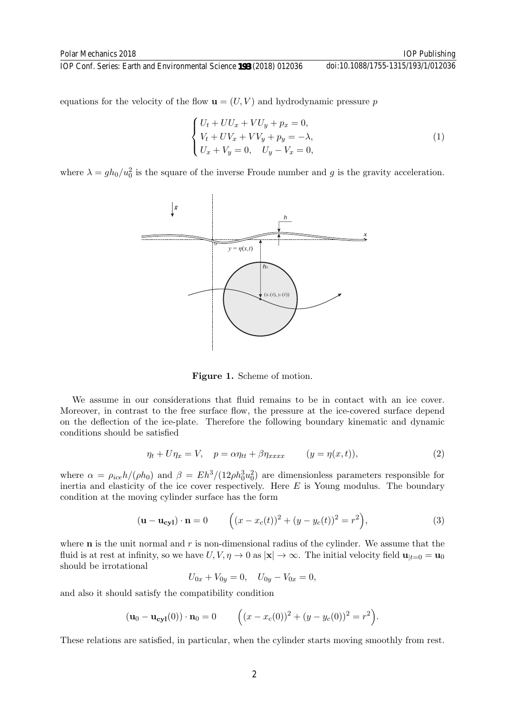equations for the velocity of the flow  $\mathbf{u} = (U, V)$  and hydrodynamic pressure p

$$
\begin{cases}\nU_t + U U_x + V U_y + p_x = 0, \\
V_t + U V_x + V V_y + p_y = -\lambda, \\
U_x + V_y = 0, \quad U_y - V_x = 0,\n\end{cases}
$$
\n(1)

where  $\lambda = gh_0/u_0^2$  is the square of the inverse Froude number and g is the gravity acceleration.



Figure 1. Scheme of motion.

We assume in our considerations that fluid remains to be in contact with an ice cover. Moreover, in contrast to the free surface flow, the pressure at the ice-covered surface depend on the deflection of the ice-plate. Therefore the following boundary kinematic and dynamic conditions should be satisfied

$$
\eta_t + U\eta_x = V, \quad p = \alpha \eta_{tt} + \beta \eta_{xxxx} \qquad (y = \eta(x, t)), \tag{2}
$$

where  $\alpha = \rho_{ice} h/(\rho h_0)$  and  $\beta = Eh^3/(12\rho h_0^3 u_0^2)$  are dimensionless parameters responsible for inertia and elasticity of the ice cover respectively. Here  $E$  is Young modulus. The boundary condition at the moving cylinder surface has the form

$$
(\mathbf{u} - \mathbf{u_{cyl}}) \cdot \mathbf{n} = 0 \qquad \left( (x - x_c(t))^2 + (y - y_c(t))^2 = r^2 \right), \tag{3}
$$

where  **is the unit normal and**  $r$  **is non-dimensional radius of the cylinder. We assume that the** fluid is at rest at infinity, so we have  $U, V, \eta \to 0$  as  $|\mathbf{x}| \to \infty$ . The initial velocity field  $\mathbf{u}_{|t=0} = \mathbf{u}_0$ should be irrotational

$$
U_{0x} + V_{0y} = 0, \quad U_{0y} - V_{0x} = 0,
$$

and also it should satisfy the compatibility condition

$$
(\mathbf{u}_0 - \mathbf{u}_{\text{cyl}}(0)) \cdot \mathbf{n}_0 = 0 \qquad \left( (x - x_c(0))^2 + (y - y_c(0))^2 = r^2 \right).
$$

These relations are satisfied, in particular, when the cylinder starts moving smoothly from rest.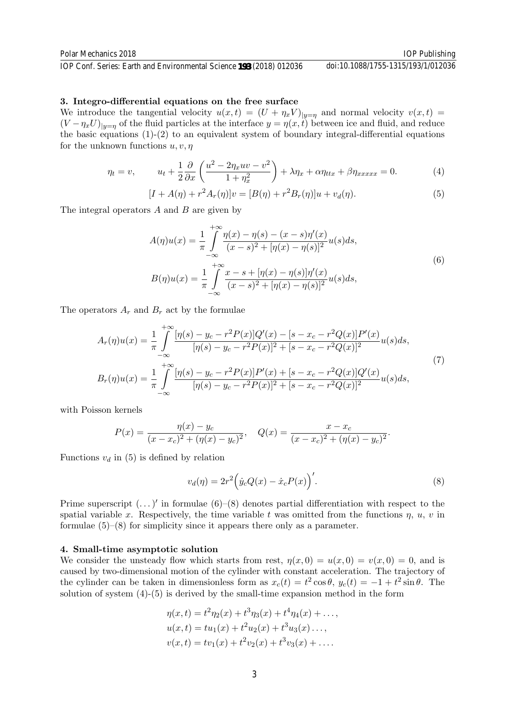#### 3. Integro-differential equations on the free surface

We introduce the tangential velocity  $u(x,t) = (U + \eta_x V)_{|y=\eta}$  and normal velocity  $v(x,t) =$  $(V - \eta_x U)_{|y=\eta}$  of the fluid particles at the interface  $y = \eta(x, t)$  between ice and fluid, and reduce the basic equations (1)-(2) to an equivalent system of boundary integral-differential equations for the unknown functions  $u, v, \eta$ 

$$
\eta_t = v, \qquad u_t + \frac{1}{2} \frac{\partial}{\partial x} \left( \frac{u^2 - 2\eta_x u v - v^2}{1 + \eta_x^2} \right) + \lambda \eta_x + \alpha \eta_{ttx} + \beta \eta_{xxxxx} = 0. \tag{4}
$$

$$
[I + A(\eta) + r^2 A_r(\eta)]v = [B(\eta) + r^2 B_r(\eta)]u + v_d(\eta).
$$
 (5)

The integral operators  $A$  and  $B$  are given by

$$
A(\eta)u(x) = \frac{1}{\pi} \int_{-\infty}^{+\infty} \frac{\eta(x) - \eta(s) - (x - s)\eta'(x)}{(x - s)^2 + [\eta(x) - \eta(s)]^2} u(s)ds,
$$
  
\n
$$
B(\eta)u(x) = \frac{1}{\pi} \int_{-\infty}^{+\infty} \frac{x - s + [\eta(x) - \eta(s)]\eta'(x)}{(x - s)^2 + [\eta(x) - \eta(s)]^2} u(s)ds,
$$
\n(6)

The operators  $A_r$  and  $B_r$  act by the formulae

$$
A_r(\eta)u(x) = \frac{1}{\pi} \int_{-\infty}^{+\infty} \frac{[\eta(s) - y_c - r^2 P(x)]Q'(x) - [s - x_c - r^2 Q(x)]P'(x)}{[\eta(s) - y_c - r^2 P(x)]^2 + [s - x_c - r^2 Q(x)]^2} u(s)ds,
$$
  
\n
$$
B_r(\eta)u(x) = \frac{1}{\pi} \int_{-\infty}^{+\infty} \frac{[\eta(s) - y_c - r^2 P(x)]P'(x) + [s - x_c - r^2 Q(x)]Q'(x)}{[\eta(s) - y_c - r^2 P(x)]^2 + [s - x_c - r^2 Q(x)]^2} u(s)ds,
$$
\n(7)

with Poisson kernels

$$
P(x) = \frac{\eta(x) - y_c}{(x - x_c)^2 + (\eta(x) - y_c)^2}, \quad Q(x) = \frac{x - x_c}{(x - x_c)^2 + (\eta(x) - y_c)^2}.
$$

Functions  $v_d$  in (5) is defined by relation

$$
v_d(\eta) = 2r^2 \Big( \dot{y}_c Q(x) - \dot{x}_c P(x) \Big)'.\tag{8}
$$

Prime superscript  $(\dots)'$  in formulae  $(6)-(8)$  denotes partial differentiation with respect to the spatial variable x. Respectively, the time variable t was omitted from the functions  $\eta$ ,  $u$ ,  $v$  in formulae  $(5)-(8)$  for simplicity since it appears there only as a parameter.

#### 4. Small-time asymptotic solution

We consider the unsteady flow which starts from rest,  $\eta(x, 0) = u(x, 0) = v(x, 0) = 0$ , and is caused by two-dimensional motion of the cylinder with constant acceleration. The trajectory of the cylinder can be taken in dimensionless form as  $x_c(t) = t^2 \cos \theta$ ,  $y_c(t) = -1 + t^2 \sin \theta$ . The solution of system  $(4)-(5)$  is derived by the small-time expansion method in the form

$$
\eta(x,t) = t^2 \eta_2(x) + t^3 \eta_3(x) + t^4 \eta_4(x) + \dots,
$$
  
\n
$$
u(x,t) = tu_1(x) + t^2 u_2(x) + t^3 u_3(x) \dots,
$$
  
\n
$$
v(x,t) = tv_1(x) + t^2 v_2(x) + t^3 v_3(x) + \dots.
$$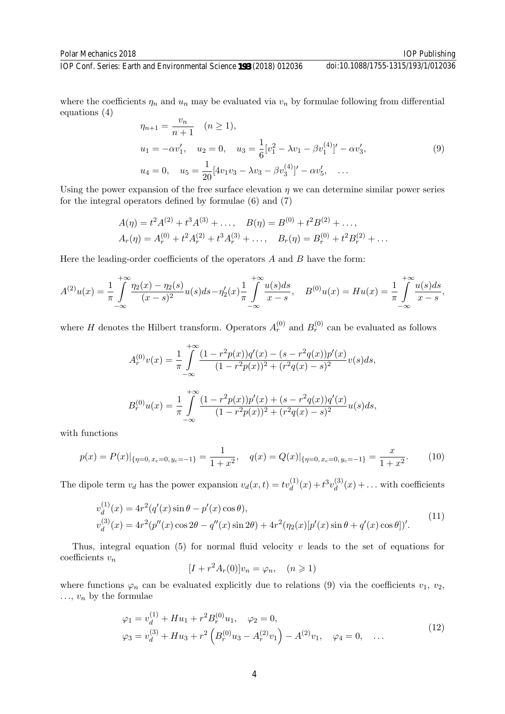doi:10.1088/1755-1315/193/1/012036

IOP Conf. Series: Earth and Environmental Science **193** (2018) 012036

where the coefficients  $\eta_n$  and  $u_n$  may be evaluated via  $v_n$  by formulae following from differential equations (4)

$$
\eta_{n+1} = \frac{v_n}{n+1} \quad (n \ge 1),
$$
  
\n
$$
u_1 = -\alpha v_1', \quad u_2 = 0, \quad u_3 = \frac{1}{6} [v_1^2 - \lambda v_1 - \beta v_1^{(4)}]' - \alpha v_3',
$$
  
\n
$$
u_4 = 0, \quad u_5 = \frac{1}{20} [4v_1 v_3 - \lambda v_3 - \beta v_3^{(4)}]' - \alpha v_5', \quad \dots
$$
\n(9)

Using the power expansion of the free surface elevation  $\eta$  we can determine similar power series for the integral operators defined by formulae (6) and (7)

$$
A(\eta) = t^2 A^{(2)} + t^3 A^{(3)} + \dots, \quad B(\eta) = B^{(0)} + t^2 B^{(2)} + \dots,
$$
  

$$
A_r(\eta) = A_r^{(0)} + t^2 A_r^{(2)} + t^3 A_r^{(3)} + \dots, \quad B_r(\eta) = B_r^{(0)} + t^2 B_r^{(2)} + \dots
$$

Here the leading-order coefficients of the operators  $A$  and  $B$  have the form:

$$
A^{(2)}u(x) = \frac{1}{\pi} \int_{-\infty}^{+\infty} \frac{\eta_2(x) - \eta_2(s)}{(x-s)^2} u(s) ds - \eta_2'(x) + \frac{1}{\pi} \int_{-\infty}^{+\infty} \frac{u(s) ds}{x-s}, \quad B^{(0)}u(x) = Hu(x) = \frac{1}{\pi} \int_{-\infty}^{+\infty} \frac{u(s) ds}{x-s},
$$

where H denotes the Hilbert transform. Operators  $A_r^{(0)}$  and  $B_r^{(0)}$  can be evaluated as follows

$$
A_r^{(0)}v(x) = \frac{1}{\pi} \int_{-\infty}^{+\infty} \frac{(1 - r^2 p(x))q'(x) - (s - r^2 q(x))p'(x)}{(1 - r^2 p(x))^2 + (r^2 q(x) - s)^2} v(s)ds,
$$
  

$$
B_r^{(0)}u(x) = \frac{1}{\pi} \int_{-\infty}^{+\infty} \frac{(1 - r^2 p(x))p'(x) + (s - r^2 q(x))q'(x)}{(1 - r^2 p(x))^2 + (r^2 q(x) - s)^2} u(s)ds,
$$

with functions

$$
p(x) = P(x)|_{\{\eta=0, x_c=0, y_c=-1\}} = \frac{1}{1+x^2}, \quad q(x) = Q(x)|_{\{\eta=0, x_c=0, y_c=-1\}} = \frac{x}{1+x^2}.
$$
 (10)

The dipole term  $v_d$  has the power expansion  $v_d(x,t) = tv_d^{(1)}(x) + t^3v_d^{(3)}$  $d_d^{(3)}(x) + \ldots$  with coefficients

$$
v_d^{(1)}(x) = 4r^2(q'(x)\sin\theta - p'(x)\cos\theta),
$$
  
\n
$$
v_d^{(3)}(x) = 4r^2(p''(x)\cos 2\theta - q''(x)\sin 2\theta) + 4r^2(\eta_2(x)[p'(x)\sin\theta + q'(x)\cos\theta])'.
$$
\n(11)

Thus, integral equation (5) for normal fluid velocity  $v$  leads to the set of equations for coefficients  $v_n$ 

$$
[I + r2 Ar(0)]vn = \varphin, \quad (n \ge 1)
$$

where functions  $\varphi_n$  can be evaluated explicitly due to relations (9) via the coefficients  $v_1, v_2$ ,  $\ldots$ ,  $v_n$  by the formulae

$$
\varphi_1 = v_d^{(1)} + Hu_1 + r^2 B_r^{(0)} u_1, \quad \varphi_2 = 0,
$$
  

$$
\varphi_3 = v_d^{(3)} + Hu_3 + r^2 \left( B_r^{(0)} u_3 - A_r^{(2)} v_1 \right) - A^{(2)} v_1, \quad \varphi_4 = 0, \quad \dots
$$
 (12)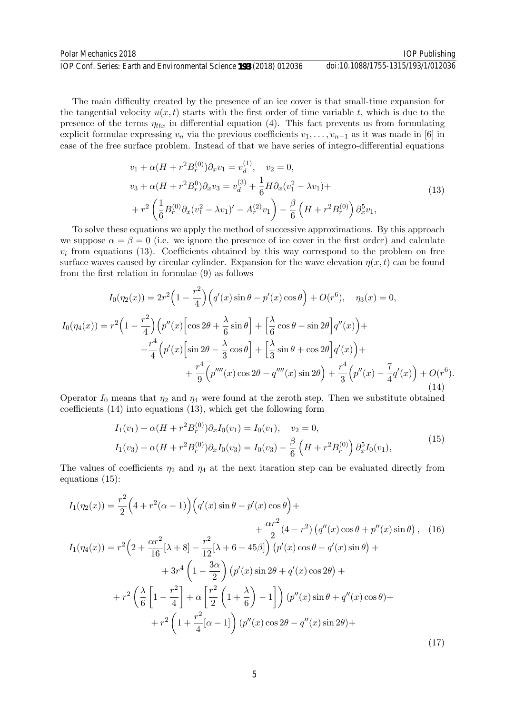The main difficulty created by the presence of an ice cover is that small-time expansion for the tangential velocity  $u(x, t)$  starts with the first order of time variable t, which is due to the presence of the terms  $\eta_{ttx}$  in differential equation (4). This fact prevents us from formulating explicit formulae expressing  $v_n$  via the previous coefficients  $v_1, \ldots, v_{n-1}$  as it was made in [6] in case of the free surface problem. Instead of that we have series of integro-differential equations

$$
v_1 + \alpha (H + r^2 B_r^{(0)}) \partial_x v_1 = v_d^{(1)}, \quad v_2 = 0,
$$
  
\n
$$
v_3 + \alpha (H + r^2 B_r^0) \partial_x v_3 = v_d^{(3)} + \frac{1}{6} H \partial_x (v_1^2 - \lambda v_1) +
$$
  
\n
$$
+ r^2 \left( \frac{1}{6} B_r^{(0)} \partial_x (v_1^2 - \lambda v_1)' - A_r^{(2)} v_1 \right) - \frac{\beta}{6} \left( H + r^2 B_r^{(0)} \right) \partial_x^5 v_1,
$$
\n(13)

To solve these equations we apply the method of successive approximations. By this approach we suppose  $\alpha = \beta = 0$  (i.e. we ignore the presence of ice cover in the first order) and calculate  $v_i$  from equations (13). Coefficients obtained by this way correspond to the problem on free surface waves caused by circular cylinder. Expansion for the wave elevation  $\eta(x, t)$  can be found from the first relation in formulae (9) as follows

$$
I_0(\eta_2(x)) = 2r^2 \left(1 - \frac{r^2}{4}\right) \left(q'(x) \sin \theta - p'(x) \cos \theta\right) + O(r^6), \quad \eta_3(x) = 0,
$$
  
\n
$$
I_0(\eta_4(x)) = r^2 \left(1 - \frac{r^2}{4}\right) \left(p''(x) \left[\cos 2\theta + \frac{\lambda}{6} \sin \theta\right] + \left[\frac{\lambda}{6} \cos \theta - \sin 2\theta\right] q''(x)\right) +
$$
  
\n
$$
+ \frac{r^4}{4} \left(p'(x) \left[\sin 2\theta - \frac{\lambda}{3} \cos \theta\right] + \left[\frac{\lambda}{3} \sin \theta + \cos 2\theta\right] q'(x)\right) +
$$
  
\n
$$
+ \frac{r^4}{9} \left(p''''(x) \cos 2\theta - q''''(x) \sin 2\theta\right) + \frac{r^4}{3} \left(p''(x) - \frac{7}{4}q'(x)\right) + O(r^6).
$$
\n(14)

Operator  $I_0$  means that  $\eta_2$  and  $\eta_4$  were found at the zeroth step. Then we substitute obtained coefficients (14) into equations (13), which get the following form

$$
I_1(v_1) + \alpha (H + r^2 B_r^{(0)}) \partial_x I_0(v_1) = I_0(v_1), \quad v_2 = 0,
$$
  

$$
I_1(v_3) + \alpha (H + r^2 B_r^{(0)}) \partial_x I_0(v_3) = I_0(v_3) - \frac{\beta}{6} \left( H + r^2 B_r^{(0)} \right) \partial_x^5 I_0(v_1),
$$
 (15)

The values of coefficients  $\eta_2$  and  $\eta_4$  at the next itaration step can be evaluated directly from equations (15):

$$
I_{1}(\eta_{2}(x)) = \frac{r^{2}}{2} \Big(4 + r^{2}(\alpha - 1)\Big) \Big(q'(x)\sin\theta - p'(x)\cos\theta\Big) +
$$
  
+ 
$$
\frac{\alpha r^{2}}{2}(4 - r^{2}) \Big(q''(x)\cos\theta + p''(x)\sin\theta\Big), \quad (16)
$$
  

$$
I_{1}(\eta_{4}(x)) = r^{2} \Big(2 + \frac{\alpha r^{2}}{16}[\lambda + 8] - \frac{r^{2}}{12}[\lambda + 6 + 45\beta]\Big) \Big(p'(x)\cos\theta - q'(x)\sin\theta\Big) +
$$
  
+ 
$$
3r^{4} \Big(1 - \frac{3\alpha}{2}\Big) \Big(p'(x)\sin 2\theta + q'(x)\cos 2\theta\Big) +
$$
  
+ 
$$
r^{2} \Big(\frac{\lambda}{6}\Big[1 - \frac{r^{2}}{4}\Big] + \alpha \Big[\frac{r^{2}}{2}\Big(1 + \frac{\lambda}{6}\Big) - 1\Big]\Big) \Big(p''(x)\sin\theta + q''(x)\cos\theta\Big) +
$$
  
+ 
$$
r^{2} \Big(1 + \frac{r^{2}}{4}[\alpha - 1]\Big) \Big(p''(x)\cos 2\theta - q''(x)\sin 2\theta\Big) +
$$
  
(17)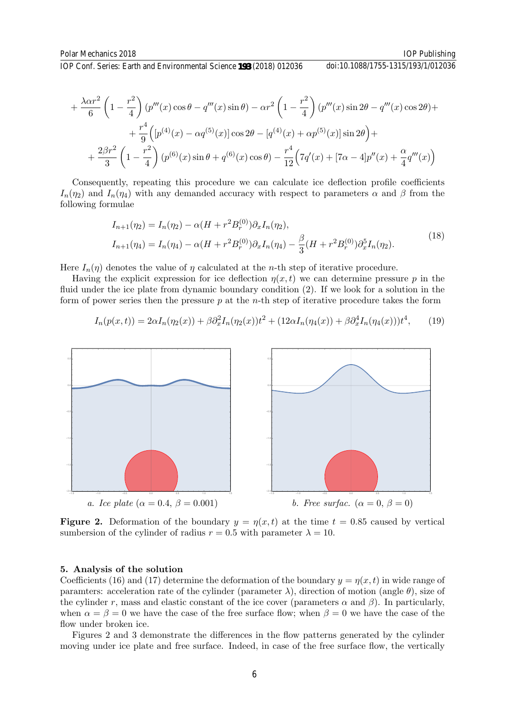doi:10.1088/1755-1315/193/1/012036

$$
+\frac{\lambda\alpha r^2}{6}\left(1-\frac{r^2}{4}\right)(p'''(x)\cos\theta-q'''(x)\sin\theta)-\alpha r^2\left(1-\frac{r^2}{4}\right)(p'''(x)\sin 2\theta-q'''(x)\cos 2\theta)++\frac{r^4}{9}\left([p^{(4)}(x)-\alpha q^{(5)}(x)]\cos 2\theta-[q^{(4)}(x)+\alpha p^{(5)}(x)]\sin 2\theta\right)++\frac{2\beta r^2}{3}\left(1-\frac{r^2}{4}\right)(p^{(6)}(x)\sin\theta+q^{(6)}(x)\cos\theta)-\frac{r^4}{12}\left(7q'(x)+[7\alpha-4]p''(x)+\frac{\alpha}{4}q'''(x)\right)
$$

Consequently, repeating this procedure we can calculate ice deflection profile coefficients  $I_n(\eta_2)$  and  $I_n(\eta_4)$  with any demanded accuracy with respect to parameters  $\alpha$  and  $\beta$  from the following formulae

$$
I_{n+1}(\eta_2) = I_n(\eta_2) - \alpha (H + r^2 B_r^{(0)}) \partial_x I_n(\eta_2),
$$
  
\n
$$
I_{n+1}(\eta_4) = I_n(\eta_4) - \alpha (H + r^2 B_r^{(0)}) \partial_x I_n(\eta_4) - \frac{\beta}{3} (H + r^2 B_r^{(0)}) \partial_x^5 I_n(\eta_2).
$$
\n(18)

Here  $I_n(\eta)$  denotes the value of  $\eta$  calculated at the *n*-th step of iterative procedure.

Having the explicit expression for ice deflection  $\eta(x, t)$  we can determine pressure p in the fluid under the ice plate from dynamic boundary condition (2). If we look for a solution in the form of power series then the pressure  $p$  at the *n*-th step of iterative procedure takes the form

$$
I_n(p(x,t)) = 2\alpha I_n(\eta_2(x)) + \beta \partial_x^2 I_n(\eta_2(x))t^2 + (12\alpha I_n(\eta_4(x)) + \beta \partial_x^4 I_n(\eta_4(x)))t^4, \qquad (19)
$$



**Figure 2.** Deformation of the boundary  $y = \eta(x, t)$  at the time  $t = 0.85$  caused by vertical sumbersion of the cylinder of radius  $r = 0.5$  with parameter  $\lambda = 10$ .

#### 5. Analysis of the solution

Coefficients (16) and (17) determine the deformation of the boundary  $y = \eta(x, t)$  in wide range of paramters: acceleration rate of the cylinder (parameter  $\lambda$ ), direction of motion (angle  $\theta$ ), size of the cylinder r, mass and elastic constant of the ice cover (parameters  $\alpha$  and  $\beta$ ). In particularly, when  $\alpha = \beta = 0$  we have the case of the free surface flow; when  $\beta = 0$  we have the case of the flow under broken ice.

Figures 2 and 3 demonstrate the differences in the flow patterns generated by the cylinder moving under ice plate and free surface. Indeed, in case of the free surface flow, the vertically